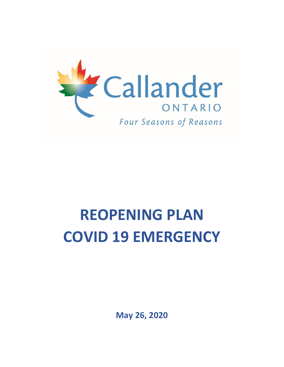

# **REOPENING PLAN COVID 19 EMERGENCY**

**May 26, 2020**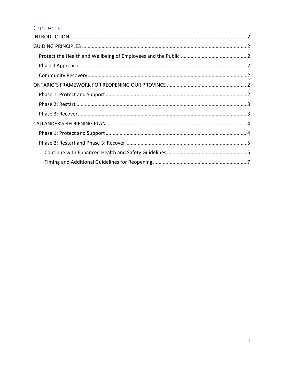# Contents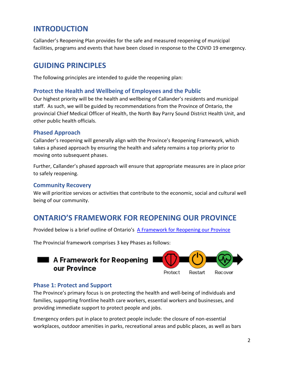# <span id="page-2-0"></span>**INTRODUCTION**

Callander's Reopening Plan provides for the safe and measured reopening of municipal facilities, programs and events that have been closed in response to the COVID 19 emergency.

## <span id="page-2-1"></span>**GUIDING PRINCIPLES**

The following principles are intended to guide the reopening plan:

#### <span id="page-2-2"></span>**Protect the Health and Wellbeing of Employees and the Public**

Our highest priority will be the health and wellbeing of Callander's residents and municipal staff. As such, we will be guided by recommendations from the Province of Ontario, the provincial Chief Medical Officer of Health, the North Bay Parry Sound District Health Unit, and other public health officials.

#### <span id="page-2-3"></span>**Phased Approach**

Callander's reopening will generally align with the Province's Reopening Framework, which takes a phased approach by ensuring the health and safety remains a top priority prior to moving onto subsequent phases.

Further, Callander's phased approach will ensure that appropriate measures are in place prior to safely reopening.

#### <span id="page-2-4"></span>**Community Recovery**

We will prioritize services or activities that contribute to the economic, social and cultural well being of our community.

# <span id="page-2-5"></span>**ONTARIO'S FRAMEWORK FOR REOPENING OUR PROVINCE**

Provided below is a brief outline of Ontario's [A Framework for Reopening our Province](https://www.ontario.ca/page/framework-reopening-our-province)

The Provincial framework comprises 3 key Phases as follows:

#### $\blacksquare$  A Framework for Reopening our Province Protect Restart Recover

#### <span id="page-2-6"></span>**Phase 1: Protect and Support**

The Province's primary focus is on protecting the health and well-being of individuals and families, supporting frontline health care workers, essential workers and businesses, and providing immediate support to protect people and jobs.

Emergency orders put in place to protect people include: the closure of non-essential workplaces, outdoor amenities in parks, recreational areas and public places, as well as bars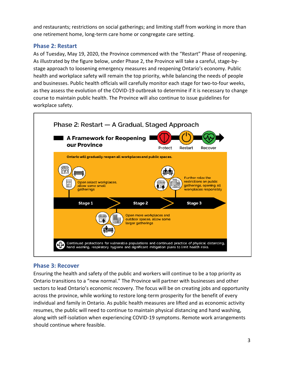and restaurants; restrictions on social gatherings; and limiting staff from working in more than one retirement home, long-term care home or congregate care setting.

### <span id="page-3-0"></span>**Phase 2: Restart**

As of Tuesday, May 19, 2020, the Province commenced with the "Restart" Phase of reopening. As illustrated by the figure below, under Phase 2, the Province will take a careful, stage-bystage approach to loosening emergency measures and reopening Ontario's economy. Public health and workplace safety will remain the top priority, while balancing the needs of people and businesses. Public health officials will carefully monitor each stage for two-to-four weeks, as they assess the evolution of the COVID-19 outbreak to determine if it is necessary to change course to maintain public health. The Province will also continue to issue guidelines for workplace safety.



#### <span id="page-3-1"></span>**Phase 3: Recover**

Ensuring the health and safety of the public and workers will continue to be a top priority as Ontario transitions to a "new normal." The Province will partner with businesses and other sectors to lead Ontario's economic recovery. The focus will be on creating jobs and opportunity across the province, while working to restore long-term prosperity for the benefit of every individual and family in Ontario. As public health measures are lifted and as economic activity resumes, the public will need to continue to maintain physical distancing and hand washing, along with self-isolation when experiencing COVID-19 symptoms. Remote work arrangements should continue where feasible.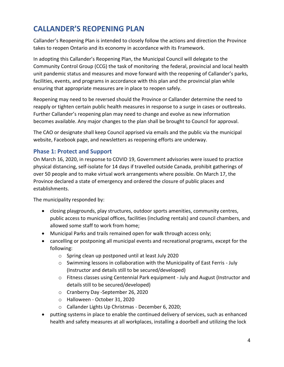# <span id="page-4-0"></span>**CALLANDER'S REOPENING PLAN**

Callander's Reopening Plan is intended to closely follow the actions and direction the Province takes to reopen Ontario and its economy in accordance with its Framework.

In adopting this Callander's Reopening Plan, the Municipal Council will delegate to the Community Control Group (CCG) the task of monitoring the federal, provincial and local health unit pandemic status and measures and move forward with the reopening of Callander's parks, facilities, events, and programs in accordance with this plan and the provincial plan while ensuring that appropriate measures are in place to reopen safely.

Reopening may need to be reversed should the Province or Callander determine the need to reapply or tighten certain public health measures in response to a surge in cases or outbreaks. Further Callander's reopening plan may need to change and evolve as new information becomes available. Any major changes to the plan shall be brought to Council for approval.

The CAO or designate shall keep Council apprised via emails and the public via the municipal website, Facebook page, and newsletters as reopening efforts are underway.

#### <span id="page-4-1"></span>**Phase 1: Protect and Support**

On March 16, 2020, in response to COVID 19, Government advisories were issued to practice physical distancing, self-isolate for 14 days if travelled outside Canada, prohibit gatherings of over 50 people and to make virtual work arrangements where possible. On March 17, the Province declared a state of emergency and ordered the closure of public places and establishments.

The municipality responded by:

- closing playgrounds, play structures, outdoor sports amenities, community centres, public access to municipal offices, facilities (including rentals) and council chambers, and allowed some staff to work from home;
- Municipal Parks and trails remained open for walk through access only;
- cancelling or postponing all municipal events and recreational programs, except for the following:
	- o Spring clean up postponed until at least July 2020
	- $\circ$  Swimming lessons in collaboration with the Municipality of East Ferris July (Instructor and details still to be secured/developed)
	- o Fitness classes using Centennial Park equipment July and August (Instructor and details still to be secured/developed)
	- o Cranberry Day -September 26, 2020
	- o Halloween October 31, 2020
	- o Callander Lights Up Christmas December 6, 2020;
- putting systems in place to enable the continued delivery of services, such as enhanced health and safety measures at all workplaces, installing a doorbell and utilizing the lock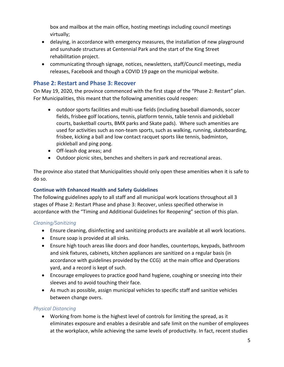box and mailbox at the main office, hosting meetings including council meetings virtually;

- delaying, in accordance with emergency measures, the installation of new playground and sunshade structures at Centennial Park and the start of the King Street rehabilitation project.
- communicating through signage, notices, newsletters, staff/Council meetings, media releases, Facebook and though a COVID 19 page on the municipal website.

#### <span id="page-5-0"></span>**Phase 2: Restart and Phase 3: Recover**

On May 19, 2020, the province commenced with the first stage of the "Phase 2: Restart" plan. For Municipalities, this meant that the following amenities could reopen:

- outdoor sports facilities and multi-use fields (including baseball diamonds, soccer fields, frisbee golf locations, tennis, platform tennis, table tennis and pickleball courts, basketball courts, BMX parks and Skate pads). Where such amenities are used for activities such as non-team sports, such as walking, running, skateboarding, frisbee, kicking a ball and low contact racquet sports like tennis, badminton, pickleball and ping pong.
- Off-leash dog areas; and
- Outdoor picnic sites, benches and shelters in park and recreational areas.

The province also stated that Municipalities should only open these amenities when it is safe to do so.

#### <span id="page-5-1"></span>**Continue with Enhanced Health and Safety Guidelines**

The following guidelines apply to all staff and all municipal work locations throughout all 3 stages of Phase 2: Restart Phase and phase 3: Recover, unless specified otherwise in accordance with the "Timing and Additional Guidelines for Reopening" section of this plan.

#### *Cleaning/Sanitizing*

- Ensure cleaning, disinfecting and sanitizing products are available at all work locations.
- Ensure soap is provided at all sinks.
- Ensure high touch areas like doors and door handles, countertops, keypads, bathroom and sink fixtures, cabinets, kitchen appliances are sanitized on a regular basis (in accordance with guidelines provided by the CCG) at the main office and Operations yard, and a record is kept of such.
- Encourage employees to practice good hand hygiene, coughing or sneezing into their sleeves and to avoid touching their face.
- As much as possible, assign municipal vehicles to specific staff and sanitize vehicles between change overs.

#### *Physical Distancing*

• Working from home is the highest level of controls for limiting the spread, as it eliminates exposure and enables a desirable and safe limit on the number of employees at the workplace, while achieving the same levels of productivity. In fact, recent studies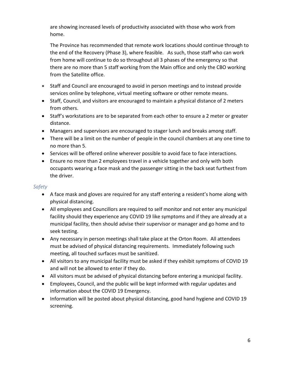are showing increased levels of productivity associated with those who work from home.

The Province has recommended that remote work locations should continue through to the end of the Recovery (Phase 3), where feasible. As such, those staff who can work from home will continue to do so throughout all 3 phases of the emergency so that there are no more than 5 staff working from the Main office and only the CBO working from the Satellite office.

- Staff and Council are encouraged to avoid in person meetings and to instead provide services online by telephone, virtual meeting software or other remote means.
- Staff, Council, and visitors are encouraged to maintain a physical distance of 2 meters from others.
- Staff's workstations are to be separated from each other to ensure a 2 meter or greater distance.
- Managers and supervisors are encouraged to stager lunch and breaks among staff.
- There will be a limit on the number of people in the council chambers at any one time to no more than 5.
- Services will be offered online wherever possible to avoid face to face interactions.
- Ensure no more than 2 employees travel in a vehicle together and only with both occupants wearing a face mask and the passenger sitting in the back seat furthest from the driver.

#### *Safety*

- A face mask and gloves are required for any staff entering a resident's home along with physical distancing.
- All employees and Councillors are required to self monitor and not enter any municipal facility should they experience any COVID 19 like symptoms and if they are already at a municipal facility, then should advise their supervisor or manager and go home and to seek testing.
- Any necessary in person meetings shall take place at the Orton Room. All attendees must be advised of physical distancing requirements. Immediately following such meeting, all touched surfaces must be sanitized.
- All visitors to any municipal facility must be asked if they exhibit symptoms of COVID 19 and will not be allowed to enter if they do.
- All visitors must be advised of physical distancing before entering a municipal facility.
- Employees, Council, and the public will be kept informed with regular updates and information about the COVID 19 Emergency.
- Information will be posted about physical distancing, good hand hygiene and COVID 19 screening.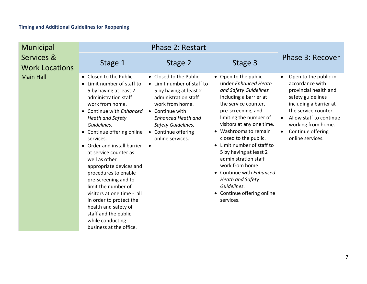<span id="page-7-0"></span>

| <b>Municipal</b>                    | <b>Phase 2: Restart</b>                                                                                                                                                                                                                                                                                                                                                                                                                                                                                                                                                      |                                                                                                                                                                                                                                             |                                                                                                                                                                                                                                                                                                                                                                                                                                                                   |                                                                                                                                                                                                                                                                           |
|-------------------------------------|------------------------------------------------------------------------------------------------------------------------------------------------------------------------------------------------------------------------------------------------------------------------------------------------------------------------------------------------------------------------------------------------------------------------------------------------------------------------------------------------------------------------------------------------------------------------------|---------------------------------------------------------------------------------------------------------------------------------------------------------------------------------------------------------------------------------------------|-------------------------------------------------------------------------------------------------------------------------------------------------------------------------------------------------------------------------------------------------------------------------------------------------------------------------------------------------------------------------------------------------------------------------------------------------------------------|---------------------------------------------------------------------------------------------------------------------------------------------------------------------------------------------------------------------------------------------------------------------------|
| Services &<br><b>Work Locations</b> | Stage 1                                                                                                                                                                                                                                                                                                                                                                                                                                                                                                                                                                      | Stage 2                                                                                                                                                                                                                                     | Stage 3                                                                                                                                                                                                                                                                                                                                                                                                                                                           | Phase 3: Recover                                                                                                                                                                                                                                                          |
| <b>Main Hall</b>                    | • Closed to the Public.<br>• Limit number of staff to<br>5 by having at least 2<br>administration staff<br>work from home.<br>Continue with Enhanced<br><b>Heath and Safety</b><br>Guidelines.<br>• Continue offering online<br>services.<br>• Order and install barrier<br>at service counter as<br>well as other<br>appropriate devices and<br>procedures to enable<br>pre-screening and to<br>limit the number of<br>visitors at one time - all<br>in order to protect the<br>health and safety of<br>staff and the public<br>while conducting<br>business at the office. | • Closed to the Public.<br>• Limit number of staff to<br>5 by having at least 2<br>administration staff<br>work from home.<br>• Continue with<br><b>Enhanced Heath and</b><br>Safety Guidelines.<br>• Continue offering<br>online services. | • Open to the public<br>under Enhanced Heath<br>and Safety Guidelines<br>including a barrier at<br>the service counter,<br>pre-screening, and<br>limiting the number of<br>visitors at any one time.<br>Washrooms to remain<br>closed to the public.<br>• Limit number of staff to<br>5 by having at least 2<br>administration staff<br>work from home.<br>• Continue with Enhanced<br>Heath and Safety<br>Guidelines.<br>• Continue offering online<br>services. | Open to the public in<br>$\bullet$<br>accordance with<br>provincial health and<br>safety guidelines<br>including a barrier at<br>the service counter.<br>Allow staff to continue<br>$\bullet$<br>working from home.<br>Continue offering<br>$\bullet$<br>online services. |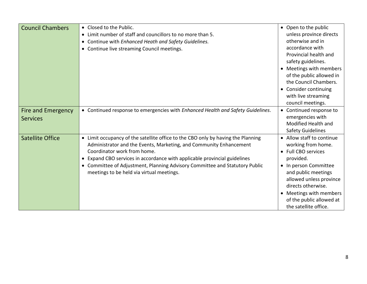| <b>Council Chambers</b>               | • Closed to the Public.<br>• Limit number of staff and councillors to no more than 5.<br>• Continue with Enhanced Heath and Safety Guidelines.<br>• Continue live streaming Council meetings.                                                                                                                                                                                                | • Open to the public<br>unless province directs<br>otherwise and in<br>accordance with<br>Provincial health and<br>safety guidelines.                                                                                                                                         |
|---------------------------------------|----------------------------------------------------------------------------------------------------------------------------------------------------------------------------------------------------------------------------------------------------------------------------------------------------------------------------------------------------------------------------------------------|-------------------------------------------------------------------------------------------------------------------------------------------------------------------------------------------------------------------------------------------------------------------------------|
|                                       |                                                                                                                                                                                                                                                                                                                                                                                              | Meetings with members<br>of the public allowed in<br>the Council Chambers.<br>• Consider continuing<br>with live streaming<br>council meetings.                                                                                                                               |
| Fire and Emergency<br><b>Services</b> | • Continued response to emergencies with Enhanced Health and Safety Guidelines.                                                                                                                                                                                                                                                                                                              | • Continued response to<br>emergencies with<br>Modified Health and<br><b>Safety Guidelines</b>                                                                                                                                                                                |
| <b>Satellite Office</b>               | • Limit occupancy of the satellite office to the CBO only by having the Planning<br>Administrator and the Events, Marketing, and Community Enhancement<br>Coordinator work from home.<br>Expand CBO services in accordance with applicable provincial guidelines<br>• Committee of Adjustment, Planning Advisory Committee and Statutory Public<br>meetings to be held via virtual meetings. | • Allow staff to continue<br>working from home.<br>Full CBO services<br>provided.<br>• In person Committee<br>and public meetings<br>allowed unless province<br>directs otherwise.<br>Meetings with members<br>$\bullet$<br>of the public allowed at<br>the satellite office. |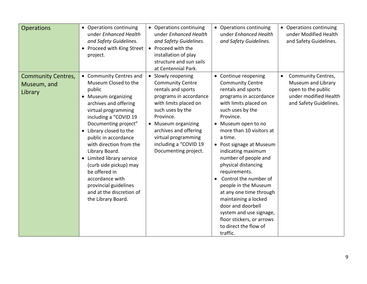| <b>Operations</b>                                   | • Operations continuing<br>under Enhanced Health<br>and Safety Guidelines.<br>• Proceed with King Street<br>project.                                                                                                                                                                                                                                                                                                                                                          | • Operations continuing<br>under Enhanced Health<br>and Safety Guidelines.<br>• Proceed with the<br>installation of play<br>structure and sun sails<br>at Centennial Park.                                                                                                      | • Operations continuing<br>under Enhanced Health<br>and Safety Guidelines.                                                                                                                                                                                                                                                                                                                                                                                                                                                                                      | • Operations continuing<br>under Modified Health<br>and Safety Guidelines.                                                     |
|-----------------------------------------------------|-------------------------------------------------------------------------------------------------------------------------------------------------------------------------------------------------------------------------------------------------------------------------------------------------------------------------------------------------------------------------------------------------------------------------------------------------------------------------------|---------------------------------------------------------------------------------------------------------------------------------------------------------------------------------------------------------------------------------------------------------------------------------|-----------------------------------------------------------------------------------------------------------------------------------------------------------------------------------------------------------------------------------------------------------------------------------------------------------------------------------------------------------------------------------------------------------------------------------------------------------------------------------------------------------------------------------------------------------------|--------------------------------------------------------------------------------------------------------------------------------|
| <b>Community Centres,</b><br>Museum, and<br>Library | • Community Centres and<br>Museum Closed to the<br>public<br>• Museum organizing<br>archives and offering<br>virtual programming<br>including a "COVID 19<br>Documenting project"<br>Library closed to the<br>$\bullet$<br>public in accordance<br>with direction from the<br>Library Board.<br>Limited library service<br>$\bullet$<br>(curb side pickup) may<br>be offered in<br>accordance with<br>provincial guidelines<br>and at the discretion of<br>the Library Board. | • Slowly reopening<br><b>Community Centre</b><br>rentals and sports<br>programs in accordance<br>with limits placed on<br>such uses by the<br>Province.<br>• Museum organizing<br>archives and offering<br>virtual programming<br>including a "COVID 19<br>Documenting project. | • Continue reopening<br><b>Community Centre</b><br>rentals and sports<br>programs in accordance<br>with limits placed on<br>such uses by the<br>Province.<br>• Museum open to no<br>more than 10 visitors at<br>a time.<br>• Post signage at Museum<br>indicating maximum<br>number of people and<br>physical distancing<br>requirements.<br>Control the number of<br>people in the Museum<br>at any one time through<br>maintaining a locked<br>door and doorbell<br>system and use signage,<br>floor stickers, or arrows<br>to direct the flow of<br>traffic. | Community Centres,<br>$\bullet$<br>Museum and Library<br>open to the public<br>under modified Health<br>and Safety Guidelines. |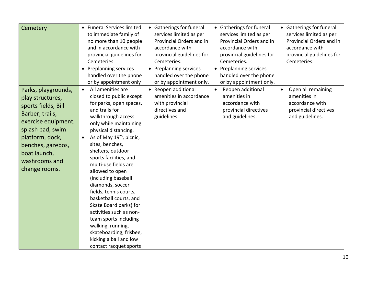| Cemetery                                                                                                                                                                                                               | • Funeral Services limited<br>to immediate family of<br>no more than 10 people<br>and in accordance with<br>provincial guidelines for<br>Cemeteries.<br><b>Preplanning services</b><br>handled over the phone<br>or by appointment only                                                                                                                                                                                                                                                                                                                                                                                           | • Gatherings for funeral<br>services limited as per<br>Provincial Orders and in<br>accordance with<br>provincial guidelines for<br>Cemeteries.<br>• Preplanning services<br>handled over the phone<br>or by appointment only. | • Gatherings for funeral<br>services limited as per<br>Provincial Orders and in<br>accordance with<br>provincial guidelines for<br>Cemeteries.<br>• Preplanning services<br>handled over the phone<br>or by appointment only. | • Gatherings for funeral<br>services limited as per<br>Provincial Orders and in<br>accordance with<br>provincial guidelines for<br>Cemeteries. |
|------------------------------------------------------------------------------------------------------------------------------------------------------------------------------------------------------------------------|-----------------------------------------------------------------------------------------------------------------------------------------------------------------------------------------------------------------------------------------------------------------------------------------------------------------------------------------------------------------------------------------------------------------------------------------------------------------------------------------------------------------------------------------------------------------------------------------------------------------------------------|-------------------------------------------------------------------------------------------------------------------------------------------------------------------------------------------------------------------------------|-------------------------------------------------------------------------------------------------------------------------------------------------------------------------------------------------------------------------------|------------------------------------------------------------------------------------------------------------------------------------------------|
| Parks, playgrounds,<br>play structures,<br>sports fields, Bill<br>Barber, trails,<br>exercise equipment,<br>splash pad, swim<br>platform, dock,<br>benches, gazebos,<br>boat launch,<br>washrooms and<br>change rooms. | All amenities are<br>$\bullet$<br>closed to public except<br>for parks, open spaces,<br>and trails for<br>walkthrough access<br>only while maintaining<br>physical distancing.<br>As of May 19 <sup>th</sup> , picnic,<br>$\bullet$<br>sites, benches,<br>shelters, outdoor<br>sports facilities, and<br>multi-use fields are<br>allowed to open<br>(including baseball<br>diamonds, soccer<br>fields, tennis courts,<br>basketball courts, and<br>Skate Board parks) for<br>activities such as non-<br>team sports including<br>walking, running,<br>skateboarding, frisbee,<br>kicking a ball and low<br>contact racquet sports | • Reopen additional<br>amenities in accordance<br>with provincial<br>directives and<br>guidelines.                                                                                                                            | Reopen additional<br>$\bullet$<br>amenities in<br>accordance with<br>provincial directives<br>and guidelines.                                                                                                                 | Open all remaining<br>$\bullet$<br>amenities in<br>accordance with<br>provincial directives<br>and guidelines.                                 |